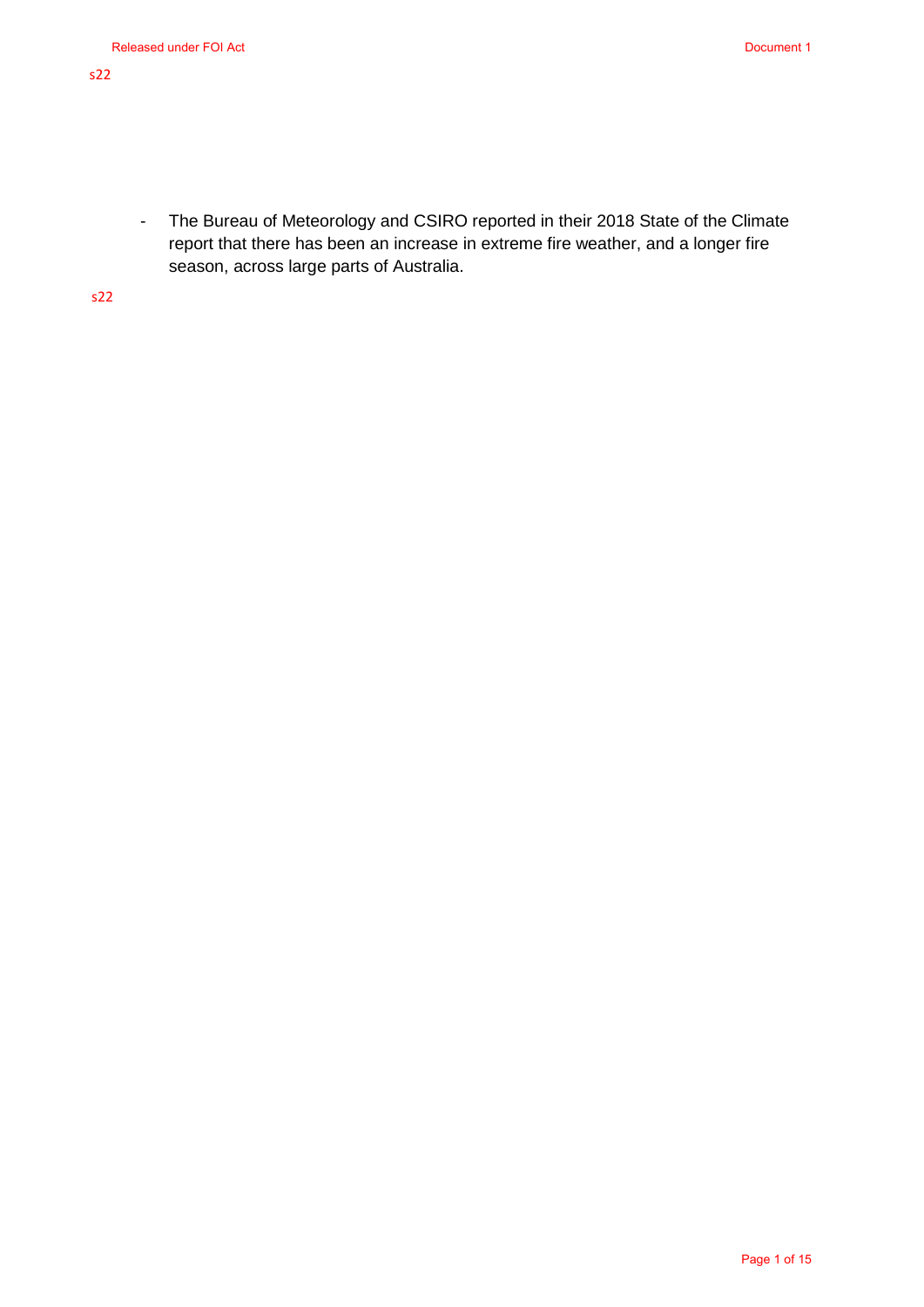- The Bureau of Meteorology and CSIRO reported in their 2018 State of the Climate report that there has been an increase in extreme fire weather, and a longer fire season, across large parts of Australia.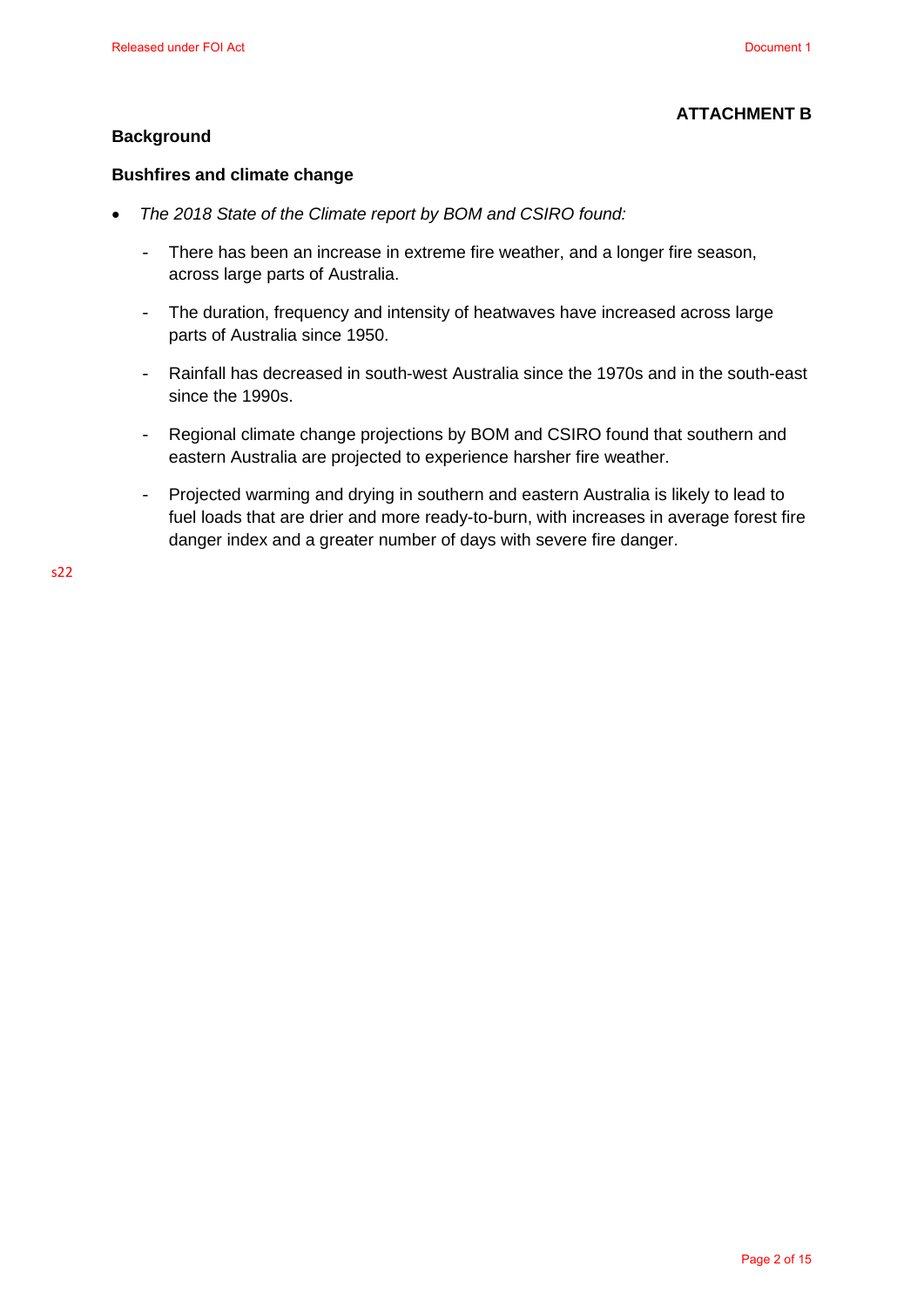#### **ATTACHMENT B**

#### **Background**

#### **Bushfires and climate change**

- *The 2018 State of the Climate report by BOM and CSIRO found:* 
	- There has been an increase in extreme fire weather, and a longer fire season, across large parts of Australia.
	- The duration, frequency and intensity of heatwaves have increased across large parts of Australia since 1950.
	- Rainfall has decreased in south-west Australia since the 1970s and in the south-east since the 1990s.
	- Regional climate change projections by BOM and CSIRO found that southern and eastern Australia are projected to experience harsher fire weather.
	- Projected warming and drying in southern and eastern Australia is likely to lead to fuel loads that are drier and more ready-to-burn, with increases in average forest fire danger index and a greater number of days with severe fire danger.

 $522$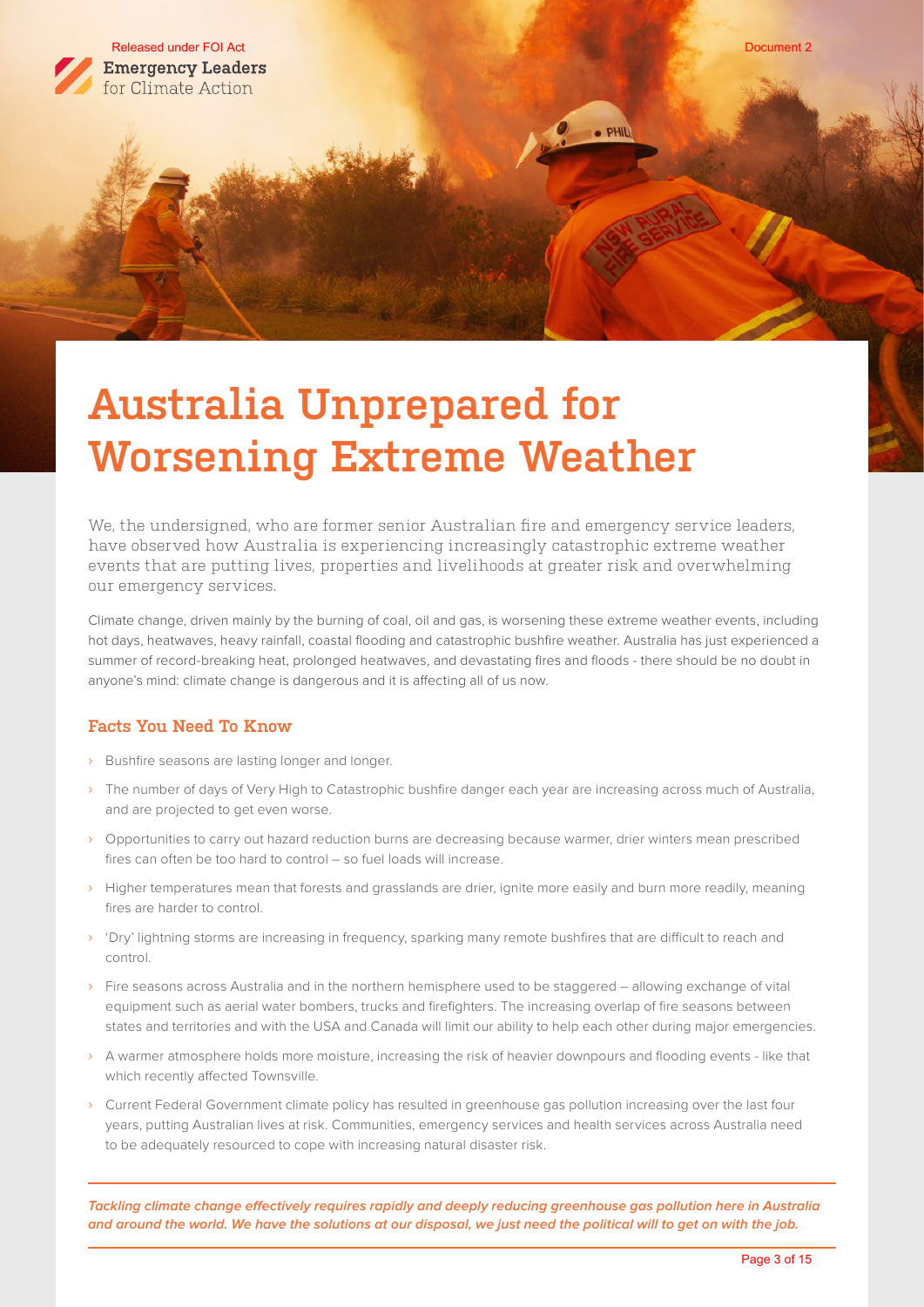

# **Australia Unprepared for Worsening Extreme Weather**

We, the undersigned, who are former senior Australian fire and emergency service leaders, have observed how Australia is experiencing increasingly catastrophic extreme weather events that are putting lives, properties and livelihoods at greater risk and overwhelming our emergency services.

Climate change, driven mainly by the burning of coal, oil and gas, is worsening these extreme weather events, including hot days, heatwaves, heavy rainfall, coastal flooding and catastrophic bushfire weather. Australia has just experienced a summer of record-breaking heat, prolonged heatwaves, and devastating fires and floods - there should be no doubt in anyone's mind: climate change is dangerous and it is affecting all of us now.

## **Facts You Need To Know**

- › Bushfire seasons are lasting longer and longer.
- › The number of days of Very High to Catastrophic bushfire danger each year are increasing across much of Australia, and are projected to get even worse.
- › Opportunities to carry out hazard reduction burns are decreasing because warmer, drier winters mean prescribed fires can often be too hard to control – so fuel loads will increase.
- › Higher temperatures mean that forests and grasslands are drier, ignite more easily and burn more readily, meaning fires are harder to control.
- › 'Dry' lightning storms are increasing in frequency, sparking many remote bushfires that are difficult to reach and control.
- › Fire seasons across Australia and in the northern hemisphere used to be staggered allowing exchange of vital equipment such as aerial water bombers, trucks and firefighters. The increasing overlap of fire seasons between states and territories and with the USA and Canada will limit our ability to help each other during major emergencies.
- › A warmer atmosphere holds more moisture, increasing the risk of heavier downpours and flooding events like that which recently affected Townsville.
- › Current Federal Government climate policy has resulted in greenhouse gas pollution increasing over the last four years, putting Australian lives at risk. Communities, emergency services and health services across Australia need to be adequately resourced to cope with increasing natural disaster risk.

**Tackling climate change effectively requires rapidly and deeply reducing greenhouse gas pollution here in Australia and around the world. We have the solutions at our disposal, we just need the political will to get on with the job.**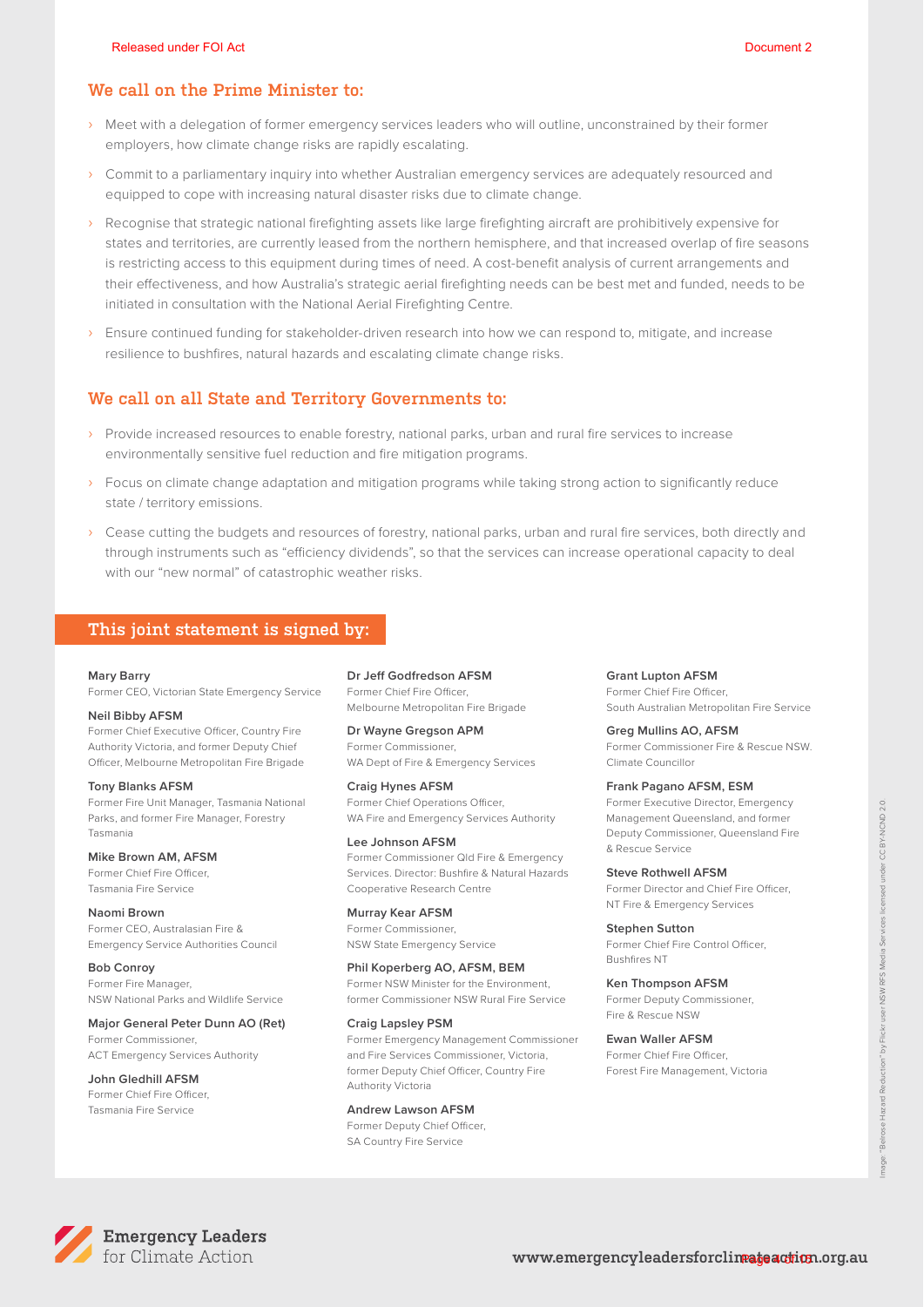#### **We call on the Prime Minister to:**

- › Meet with a delegation of former emergency services leaders who will outline, unconstrained by their former employers, how climate change risks are rapidly escalating.
- › Commit to a parliamentary inquiry into whether Australian emergency services are adequately resourced and equipped to cope with increasing natural disaster risks due to climate change.
- › Recognise that strategic national firefighting assets like large firefighting aircraft are prohibitively expensive for states and territories, are currently leased from the northern hemisphere, and that increased overlap of fire seasons is restricting access to this equipment during times of need. A cost-benefit analysis of current arrangements and their effectiveness, and how Australia's strategic aerial firefighting needs can be best met and funded, needs to be initiated in consultation with the National Aerial Firefighting Centre.
- › Ensure continued funding for stakeholder-driven research into how we can respond to, mitigate, and increase resilience to bushfires, natural hazards and escalating climate change risks.

#### **We call on all State and Territory Governments to:**

- › Provide increased resources to enable forestry, national parks, urban and rural fire services to increase environmentally sensitive fuel reduction and fire mitigation programs.
- › Focus on climate change adaptation and mitigation programs while taking strong action to significantly reduce state / territory emissions.
- › Cease cutting the budgets and resources of forestry, national parks, urban and rural fire services, both directly and through instruments such as "efficiency dividends", so that the services can increase operational capacity to deal with our "new normal" of catastrophic weather risks.

#### **This joint statement is signed by:**

#### **Mary Barry**

Former CEO, Victorian State Emergency Service

#### **Neil Bibby AFSM**

Former Chief Executive Officer, Country Fire Authority Victoria, and former Deputy Chief Officer, Melbourne Metropolitan Fire Brigade

**Tony Blanks AFSM**  Former Fire Unit Manager, Tasmania National Parks, and former Fire Manager, Forestry Tasmania

**Mike Brown AM, AFSM**  Former Chief Fire Officer, Tasmania Fire Service

**Naomi Brown**  Former CEO, Australasian Fire & Emergency Service Authorities Council

**Bob Conroy** Former Fire Manager, NSW National Parks and Wildlife Service

**Major General Peter Dunn AO (Ret)**  Former Commissioner, ACT Emergency Services Authority

**John Gledhill AFSM**  Former Chief Fire Officer, Tasmania Fire Service

## **Dr Jeff Godfredson AFSM**

Former Chief Fire Officer, Melbourne Metropolitan Fire Brigade

#### **Dr Wayne Gregson APM**  Former Commissioner,

WA Dept of Fire & Emergency Services

**Craig Hynes AFSM**  Former Chief Operations Officer, WA Fire and Emergency Services Authority

**Lee Johnson AFSM**  Former Commissioner Qld Fire & Emergency

Services. Director: Bushfire & Natural Hazards Cooperative Research Centre

**Murray Kear AFSM**  Former Commissioner, NSW State Emergency Service

**Phil Koperberg AO, AFSM, BEM**  Former NSW Minister for the Environment, former Commissioner NSW Rural Fire Service

**Craig Lapsley PSM** 

Former Emergency Management Commissioner and Fire Services Commissioner, Victoria, former Deputy Chief Officer, Country Fire Authority Victoria

**Andrew Lawson AFSM**

Former Deputy Chief Officer, SA Country Fire Service

#### **Grant Lupton AFSM**

Former Chief Fire Officer, South Australian Metropolitan Fire Service

**Greg Mullins AO, AFSM** 

Former Commissioner Fire & Rescue NSW. Climate Councillor

#### **Frank Pagano AFSM, ESM**

Former Executive Director, Emergency Management Queensland, and former Deputy Commissioner, Queensland Fire & Rescue Service

**Steve Rothwell AFSM**  Former Director and Chief Fire Officer, NT Fire & Emergency Services

**Stephen Sutton**  Former Chief Fire Control Officer, Bushfires NT

**Ken Thompson AFSM**  Former Deputy Commissioner, Fire & Rescue NSW

**Ewan Waller AFSM**  Former Chief Fire Officer, Forest Fire Management, Victoria

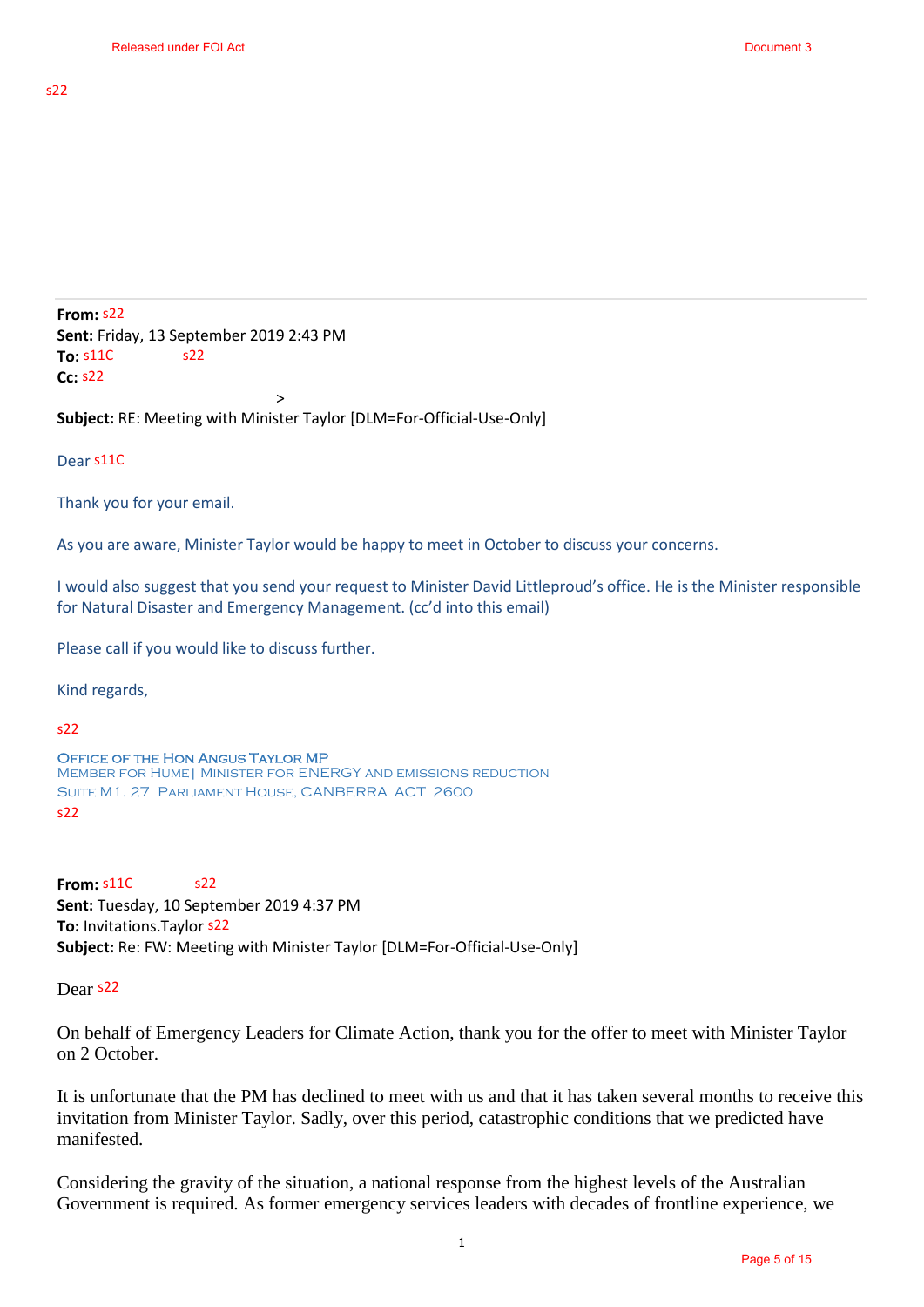**From:** s22 **Sent:** Friday, 13 September 2019 2:43 PM **To: Cc:** s22 s22

**Subject:** RE: Meeting with Minister Taylor [DLM=For-Official-Use-Only]

 $\rightarrow$ 

Dear s11C

Thank you for your email.

As you are aware, Minister Taylor would be happy to meet in October to discuss your concerns.

I would also suggest that you send your request to Minister David Littleproud's office. He is the Minister responsible for Natural Disaster and Emergency Management. (cc'd into this email)

Please call if you would like to discuss further.

Kind regards,

 $c22$ 

```
Office of the Hon Angus Taylor MP
Member for Hume| Minister for ENERGY and emissions reduction
Suite M1. 27 Parliament House, CANBERRA ACT 2600
s22 s11C<br>ject: RE<br>r s11C<br>mk you<br>ou are<br>buld also<br>Natural<br>se call<br>d regard<br>TICE OF<br>MBER FC<br>m: s11C
```
**From: Sent:** Tuesday, 10 September 2019 4:37 PM **To:** Invitations.Taylor **Subject:** Re: FW: Meeting with Minister Taylor [DLM=For-Official-Use-Only] s22<br>epter<br>or s22

Dear s<sup>22</sup>

On behalf of Emergency Leaders for Climate Action, thank you for the offer to meet with Minister Taylor on 2 October.

It is unfortunate that the PM has declined to meet with us and that it has taken several months to receive this invitation from Minister Taylor. Sadly, over this period, catastrophic conditions that we predicted have manifested.

Considering the gravity of the situation, a national response from the highest levels of the Australian Government is required. As former emergency services leaders with decades of frontline experience, we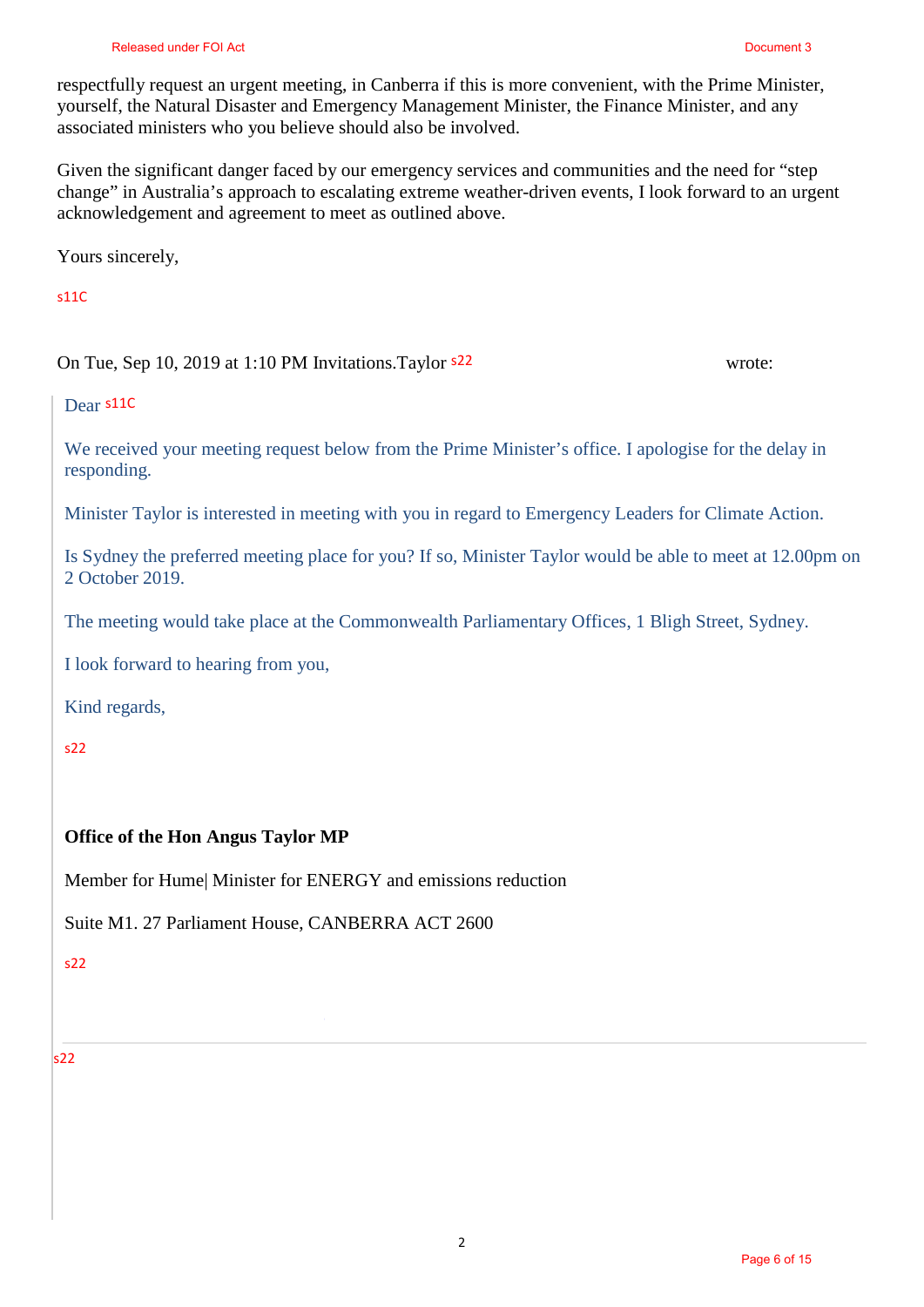respectfully request an urgent meeting, in Canberra if this is more convenient, with the Prime Minister, yourself, the Natural Disaster and Emergency Management Minister, the Finance Minister, and any associated ministers who you believe should also be involved.

Given the significant danger faced by our emergency services and communities and the need for "step change" in Australia's approach to escalating extreme weather-driven events, I look forward to an urgent acknowledgement and agreement to meet as outlined above.

Yours sincerely,

## s11C

## On Tue, Sep 10, 2019 at 1:10 PM Invitations. Taylor <sup>522</sup> vrote:

Dear s11C

We received your meeting request below from the Prime Minister's office. I apologise for the delay in responding.

Minister Taylor is interested in meeting with you in regard to Emergency Leaders for Climate Action.

Is Sydney the preferred meeting place for you? If so, Minister Taylor would be able to meet at 12.00pm on 2 October 2019.

The meeting would take place at the Commonwealth Parliamentary Offices, 1 Bligh Street, Sydney.

I look forward to hearing from you,

Kind regards,

s22

## **Office of the Hon Angus Taylor MP**

Member for Hume| Minister for ENERGY and emissions reduction

Suite M1. 27 Parliament House, CANBERRA ACT 2600

s22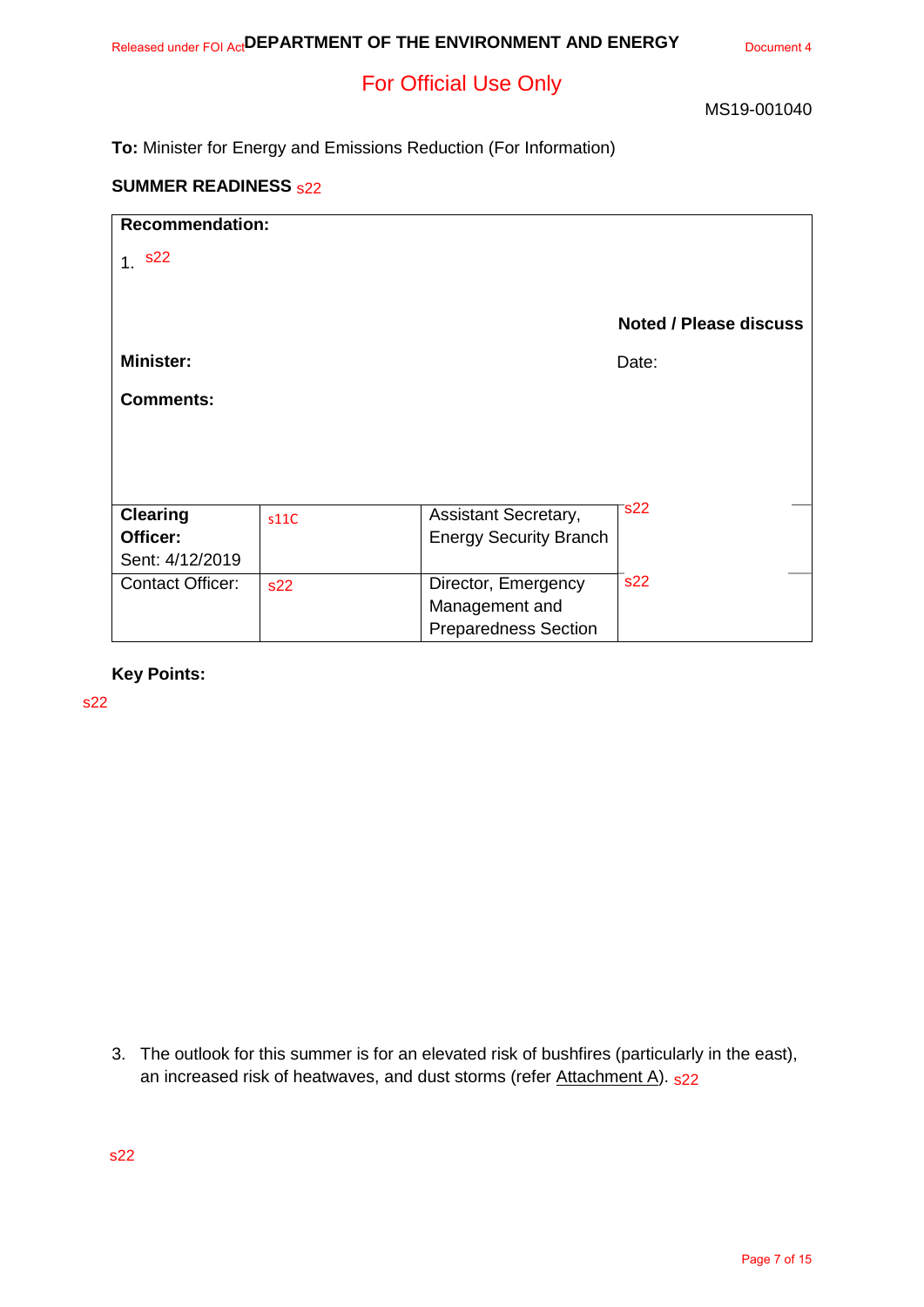# For Official Use Only

MS19-001040

**To:** Minister for Energy and Emissions Reduction (For Information)

#### **SUMMER READINESS**

| <b>SUMMER READINESS <sub>\$22</sub></b> |      |                               |                               |  |  |
|-----------------------------------------|------|-------------------------------|-------------------------------|--|--|
| <b>Recommendation:</b>                  |      |                               |                               |  |  |
| 1.822                                   |      |                               |                               |  |  |
|                                         |      |                               | <b>Noted / Please discuss</b> |  |  |
| <b>Minister:</b>                        |      |                               | Date:                         |  |  |
| <b>Comments:</b>                        |      |                               |                               |  |  |
|                                         |      |                               |                               |  |  |
|                                         |      |                               |                               |  |  |
| <b>Clearing</b>                         | s11C | Assistant Secretary,          | s22                           |  |  |
| Officer:                                |      | <b>Energy Security Branch</b> |                               |  |  |
| Sent: 4/12/2019                         |      |                               |                               |  |  |
| <b>Contact Officer:</b>                 | s22  | Director, Emergency           | s22                           |  |  |
|                                         |      | Management and                |                               |  |  |
|                                         |      | <b>Preparedness Section</b>   |                               |  |  |

**Key Points:**

s22

3. The outlook for this summer is for an elevated risk of bushfires (particularly in the east), an increased risk of heatwaves, and dust storms (refer <u>Attachment A</u>). <sub>s22</sub>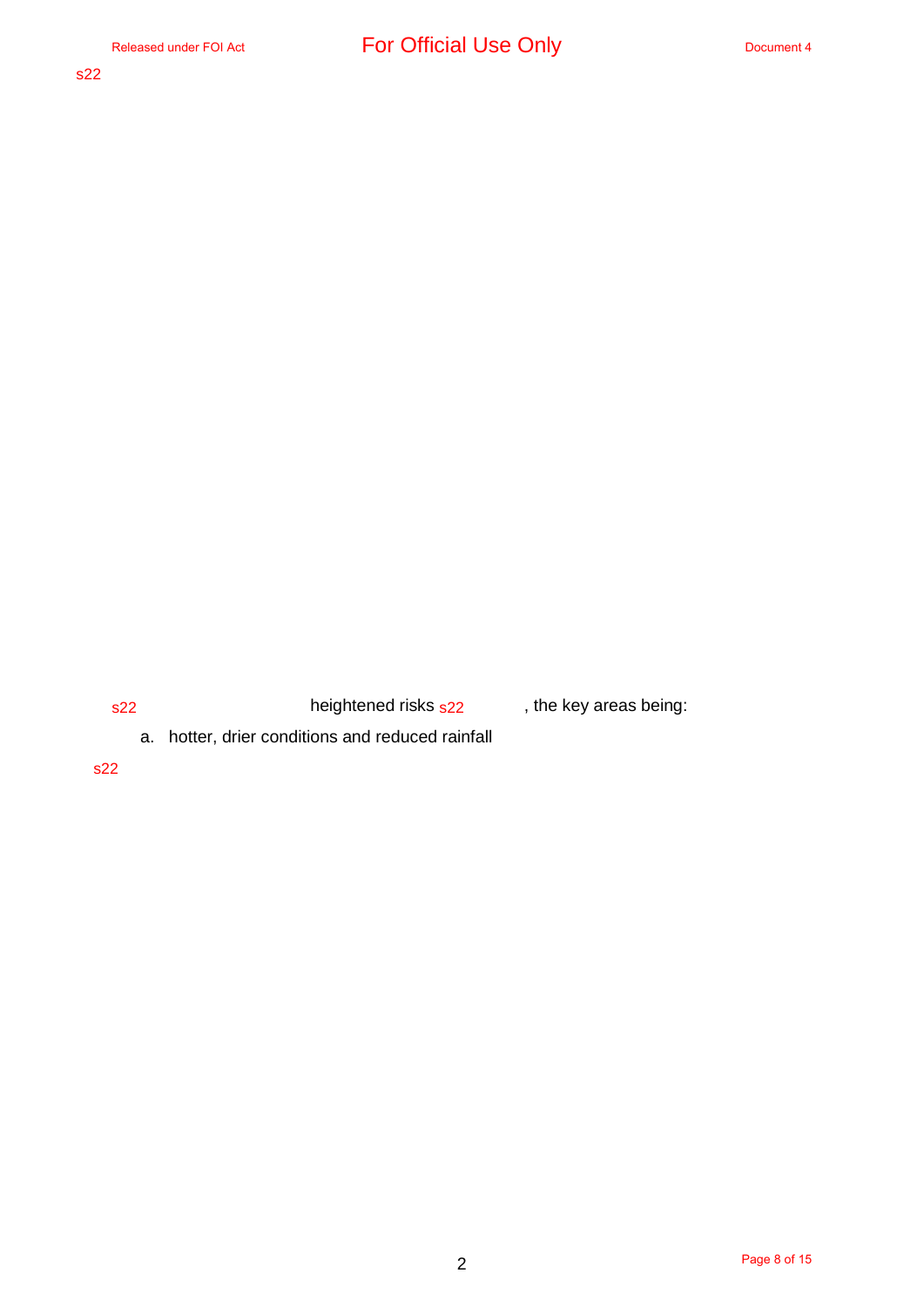s22 **heightened risks <sub>s22</sub> black**, the key areas being:

a. hotter, drier conditions and reduced rainfall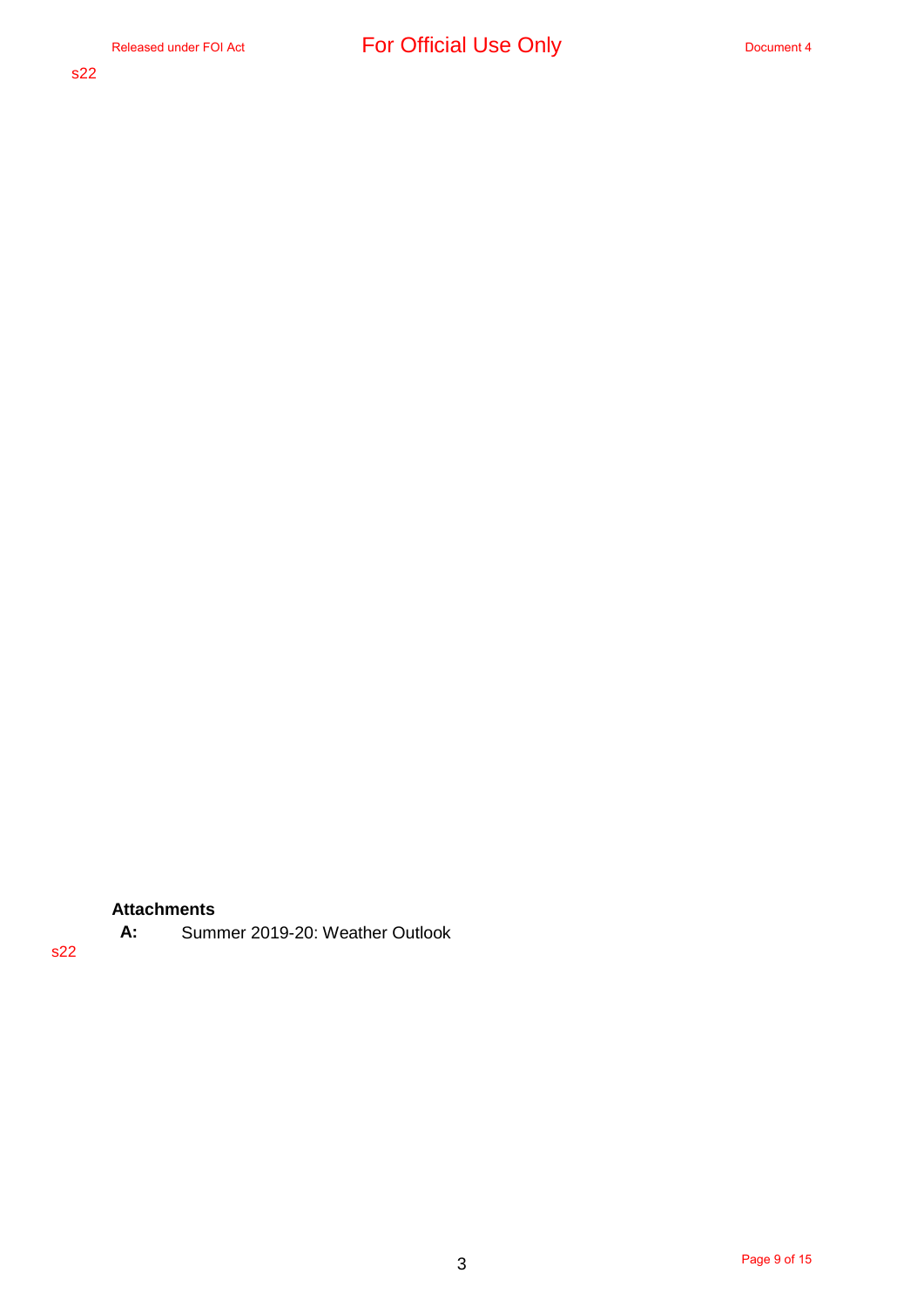# **Attachments**

**A:** Summer 2019-20: Weather Outlook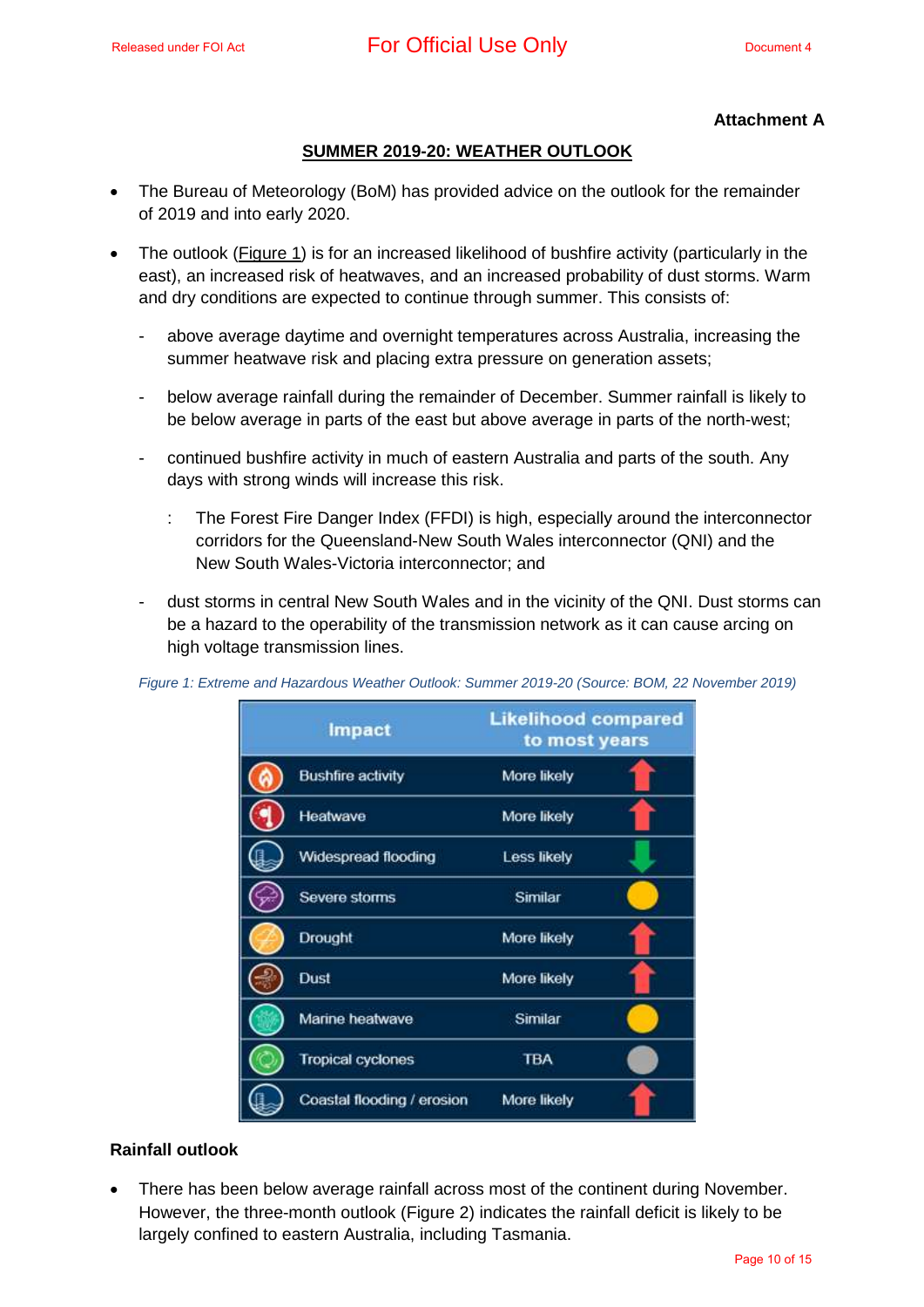## Released under FOI Act **For Official Use Only** Document 4

#### **Attachment A**

#### **SUMMER 2019-20: WEATHER OUTLOOK**

- The Bureau of Meteorology (BoM) has provided advice on the outlook for the remainder of 2019 and into early 2020.
- The outlook (Figure 1) is for an increased likelihood of bushfire activity (particularly in the east), an increased risk of heatwaves, and an increased probability of dust storms. Warm and dry conditions are expected to continue through summer. This consists of:
	- above average daytime and overnight temperatures across Australia, increasing the summer heatwave risk and placing extra pressure on generation assets;
	- below average rainfall during the remainder of December. Summer rainfall is likely to be below average in parts of the east but above average in parts of the north-west;
	- continued bushfire activity in much of eastern Australia and parts of the south. Any days with strong winds will increase this risk.
		- : The Forest Fire Danger Index (FFDI) is high, especially around the interconnector corridors for the Queensland-New South Wales interconnector (QNI) and the New South Wales-Victoria interconnector; and
	- dust storms in central New South Wales and in the vicinity of the QNI. Dust storms can be a hazard to the operability of the transmission network as it can cause arcing on high voltage transmission lines.

| Impact                     | <b>Likelihood compared</b><br>to most years |
|----------------------------|---------------------------------------------|
| <b>Bushfire activity</b>   | More likely                                 |
| Heatwave                   | More likely                                 |
| Widespread flooding        | Less likely                                 |
| Severe storms              | Similar                                     |
| Drought                    | More likely                                 |
| Dust                       | More likely                                 |
| Marine heatwave            | Similar                                     |
| <b>Tropical cyclones</b>   | <b>TBA</b>                                  |
| Coastal flooding / erosion | More likely                                 |

*Figure 1: Extreme and Hazardous Weather Outlook: Summer 2019-20 (Source: BOM, 22 November 2019)*

#### **Rainfall outlook**

 There has been below average rainfall across most of the continent during November. However, the three-month outlook (Figure 2) indicates the rainfall deficit is likely to be largely confined to eastern Australia, including Tasmania.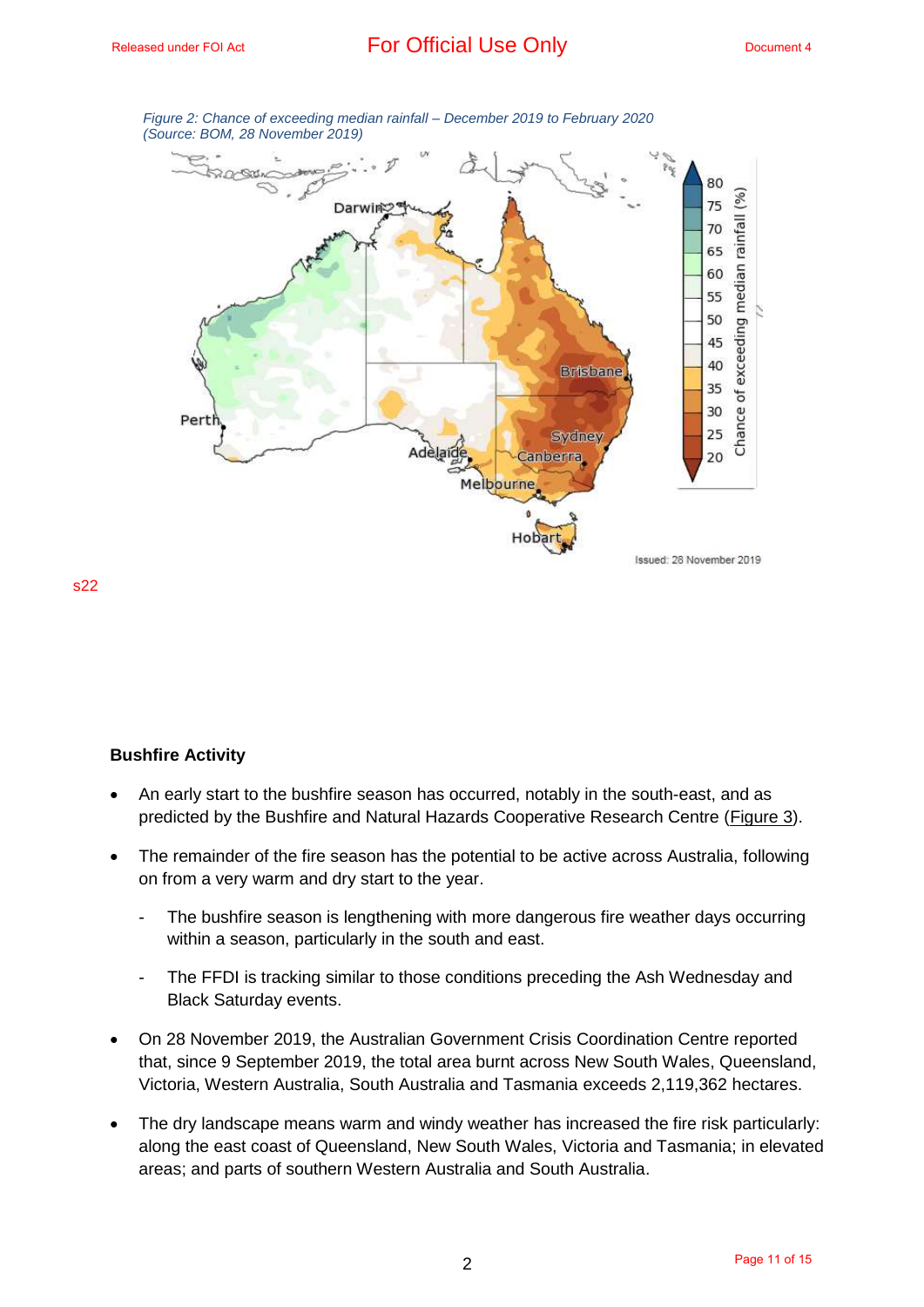

*Figure 2: Chance of exceeding median rainfall – December 2019 to February 2020 (Source: BOM, 28 November 2019)*

#### **Bushfire Activity**

- An early start to the bushfire season has occurred, notably in the south-east, and as predicted by the Bushfire and Natural Hazards Cooperative Research Centre (Figure 3).
- The remainder of the fire season has the potential to be active across Australia, following on from a very warm and dry start to the year.
	- The bushfire season is lengthening with more dangerous fire weather days occurring within a season, particularly in the south and east.
	- The FFDI is tracking similar to those conditions preceding the Ash Wednesday and Black Saturday events.
- On 28 November 2019, the Australian Government Crisis Coordination Centre reported that, since 9 September 2019, the total area burnt across New South Wales, Queensland, Victoria, Western Australia, South Australia and Tasmania exceeds 2,119,362 hectares.
- The dry landscape means warm and windy weather has increased the fire risk particularly: along the east coast of Queensland, New South Wales, Victoria and Tasmania; in elevated areas; and parts of southern Western Australia and South Australia.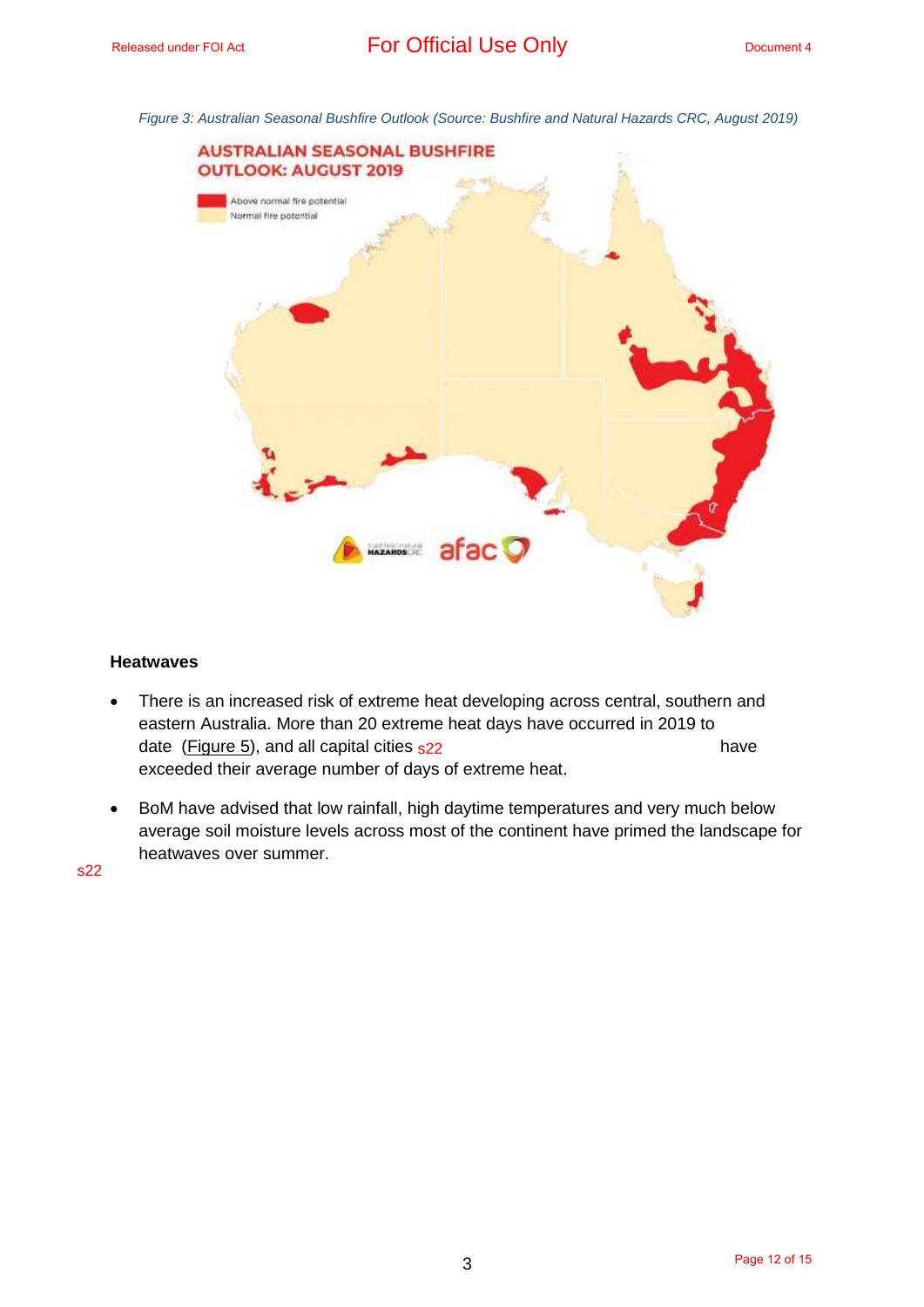*Figure 3: Australian Seasonal Bushfire Outlook (Source: Bushfire and Natural Hazards CRC, August 2019)*



#### **Heatwaves**

- There is an increased risk of extreme heat developing across central, southern and eastern Australia. More than 20 extreme heat days have occurred in 2019 to date (Figure 5), and all capital cities <sub>s22</sub> and the same of the same have have exceeded their average number of days of extreme heat.
- BoM have advised that low rainfall, high daytime temperatures and very much below average soil moisture levels across most of the continent have primed the landscape for heatwaves over summer.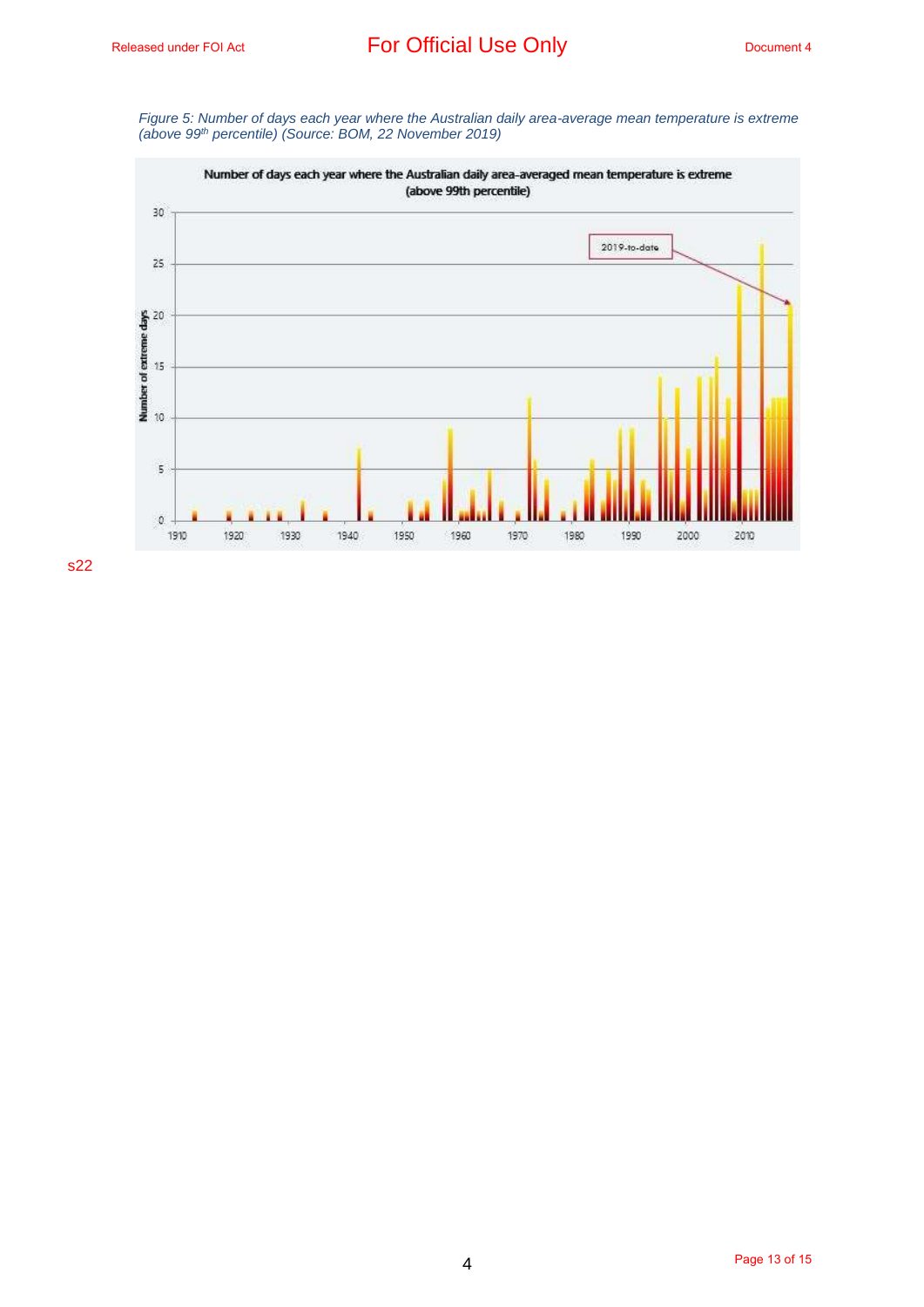*Figure 5: Number of days each year where the Australian daily area-average mean temperature is extreme (above 99th percentile) (Source: BOM, 22 November 2019)*

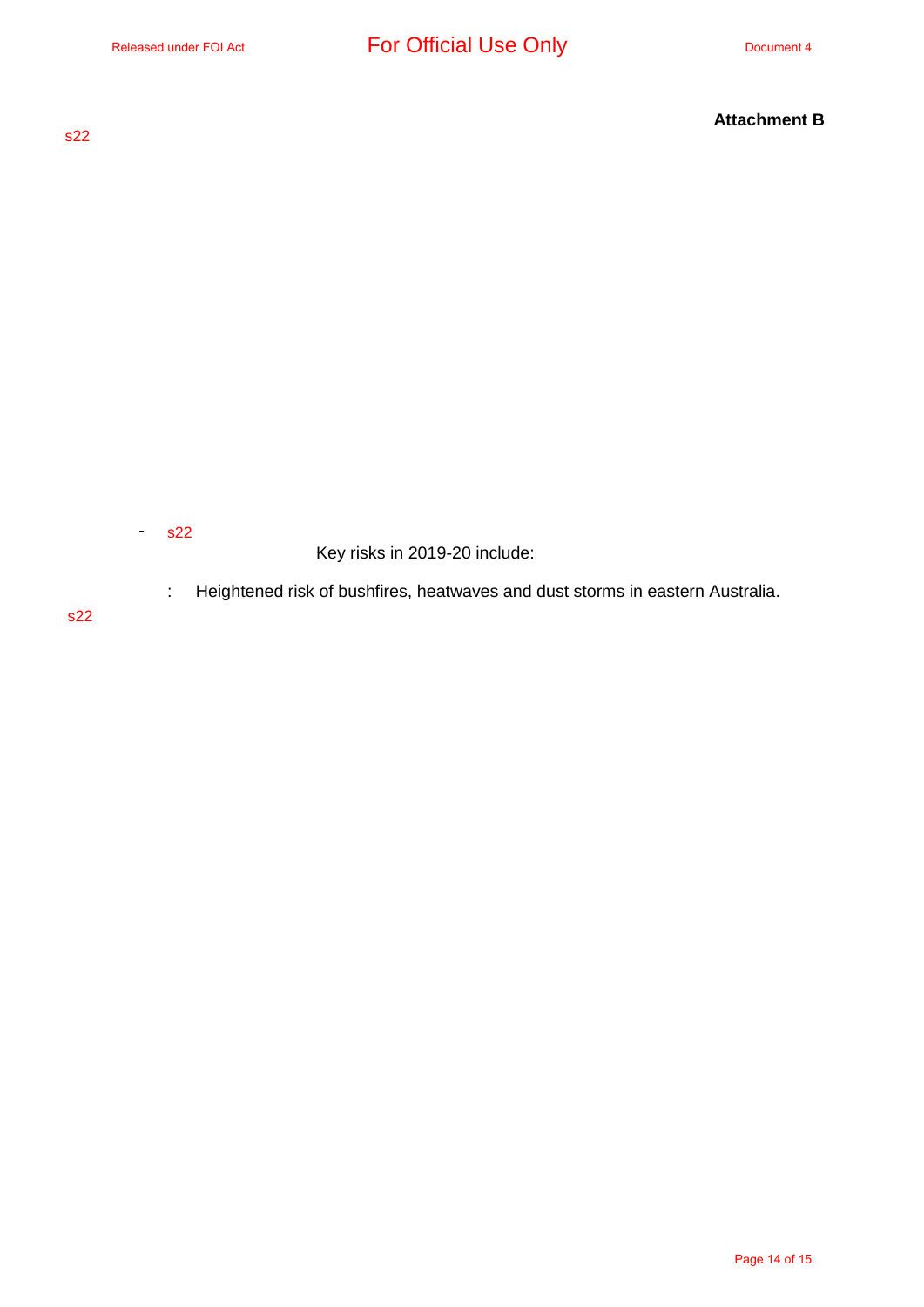s22

Key risks in 2019-20 include:

: Heightened risk of bushfires, heatwaves and dust storms in eastern Australia.